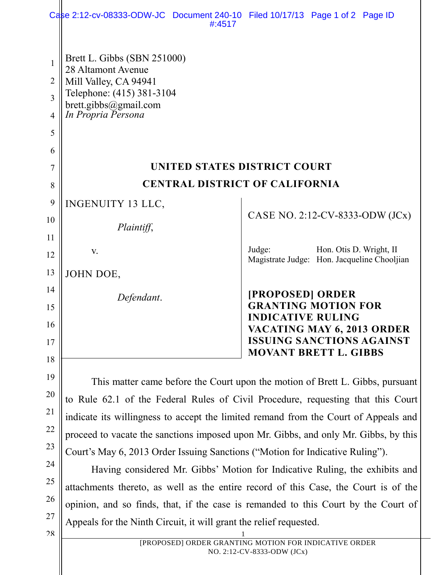|                     | Case 2:12-cv-08333-ODW-JC Document 240-10 Filed 10/17/13 Page 1 of 2 Page ID<br>#:4517                                                                            |                                                        |                         |  |  |
|---------------------|-------------------------------------------------------------------------------------------------------------------------------------------------------------------|--------------------------------------------------------|-------------------------|--|--|
|                     | Brett L. Gibbs (SBN 251000)                                                                                                                                       |                                                        |                         |  |  |
| $\mathbf{1}$        | 28 Altamont Avenue                                                                                                                                                |                                                        |                         |  |  |
| $\overline{2}$      | Mill Valley, CA 94941<br>Telephone: (415) 381-3104                                                                                                                |                                                        |                         |  |  |
| 3<br>$\overline{4}$ | brett.gibbs@gmail.com<br>In Propria Persona                                                                                                                       |                                                        |                         |  |  |
| 5                   |                                                                                                                                                                   |                                                        |                         |  |  |
| 6                   |                                                                                                                                                                   |                                                        |                         |  |  |
| 7                   | UNITED STATES DISTRICT COURT                                                                                                                                      |                                                        |                         |  |  |
| 8                   | <b>CENTRAL DISTRICT OF CALIFORNIA</b>                                                                                                                             |                                                        |                         |  |  |
| 9                   | <b>INGENUITY 13 LLC,</b>                                                                                                                                          |                                                        |                         |  |  |
| 10                  |                                                                                                                                                                   | CASE NO. 2:12-CV-8333-ODW (JCx)                        |                         |  |  |
| 11                  | Plaintiff,                                                                                                                                                        |                                                        |                         |  |  |
| 12                  | V.                                                                                                                                                                | Judge:                                                 | Hon. Otis D. Wright, II |  |  |
| 13                  | JOHN DOE,                                                                                                                                                         | Magistrate Judge: Hon. Jacqueline Chooljian            |                         |  |  |
| 14                  |                                                                                                                                                                   |                                                        |                         |  |  |
| 15                  | Defendant.                                                                                                                                                        | [PROPOSED] ORDER<br><b>GRANTING MOTION FOR</b>         |                         |  |  |
| 16                  |                                                                                                                                                                   | <b>INDICATIVE RULING</b><br>VACATING MAY 6, 2013 ORDER |                         |  |  |
| 17                  |                                                                                                                                                                   | <b>ISSUING SANCTIONS AGAINST</b>                       |                         |  |  |
| 18                  |                                                                                                                                                                   | <b>MOVANT BRETT L. GIBBS</b>                           |                         |  |  |
| 19                  |                                                                                                                                                                   |                                                        |                         |  |  |
| 20                  | This matter came before the Court upon the motion of Brett L. Gibbs, pursuant<br>to Rule 62.1 of the Federal Rules of Civil Procedure, requesting that this Court |                                                        |                         |  |  |
| 21                  | indicate its willingness to accept the limited remand from the Court of Appeals and                                                                               |                                                        |                         |  |  |
| 22                  | proceed to vacate the sanctions imposed upon Mr. Gibbs, and only Mr. Gibbs, by this                                                                               |                                                        |                         |  |  |
| 23                  | Court's May 6, 2013 Order Issuing Sanctions ("Motion for Indicative Ruling").                                                                                     |                                                        |                         |  |  |
| 24                  | Having considered Mr. Gibbs' Motion for Indicative Ruling, the exhibits and                                                                                       |                                                        |                         |  |  |
| 25                  | attachments thereto, as well as the entire record of this Case, the Court is of the                                                                               |                                                        |                         |  |  |
| 26                  | opinion, and so finds, that, if the case is remanded to this Court by the Court of                                                                                |                                                        |                         |  |  |

Appeals for the Ninth Circuit, it will grant the relief requested.

28

27